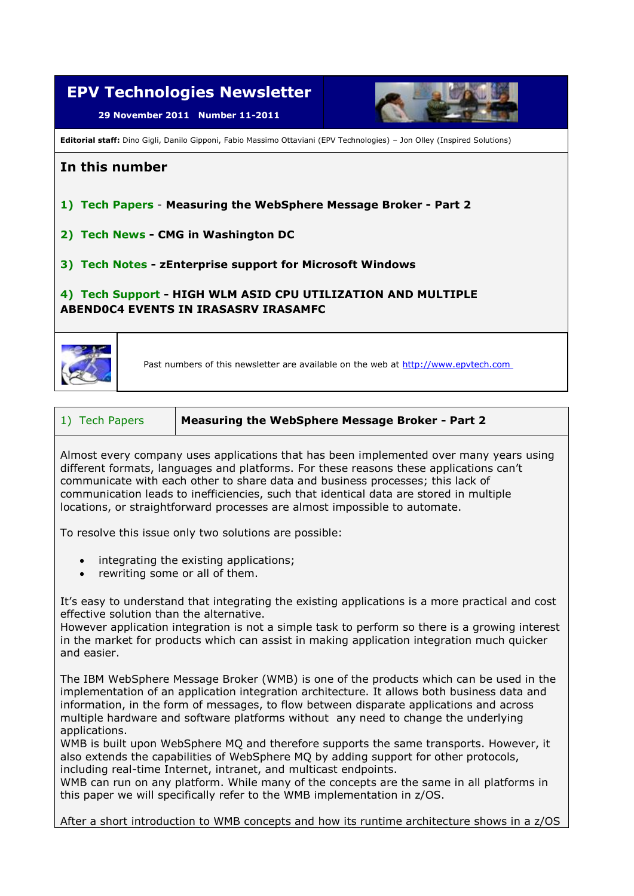

Almost every company uses applications that has been implemented over many years using different formats, languages and platforms. For these reasons these applications can't communicate with each other to share data and business processes; this lack of communication leads to inefficiencies, such that identical data are stored in multiple locations, or straightforward processes are almost impossible to automate.

To resolve this issue only two solutions are possible:

- integrating the existing applications;
- rewriting some or all of them.

It's easy to understand that integrating the existing applications is a more practical and cost effective solution than the alternative.

However application integration is not a simple task to perform so there is a growing interest in the market for products which can assist in making application integration much quicker and easier.

The IBM WebSphere Message Broker (WMB) is one of the products which can be used in the implementation of an application integration architecture. It allows both business data and information, in the form of messages, to flow between disparate applications and across multiple hardware and software platforms without any need to change the underlying applications.

WMB is built upon WebSphere MQ and therefore supports the same transports. However, it also extends the capabilities of WebSphere MQ by adding support for other protocols, including real-time Internet, intranet, and multicast endpoints.

WMB can run on any platform. While many of the concepts are the same in all platforms in this paper we will specifically refer to the WMB implementation in z/OS.

After a short introduction to WMB concepts and how its runtime architecture shows in a z/OS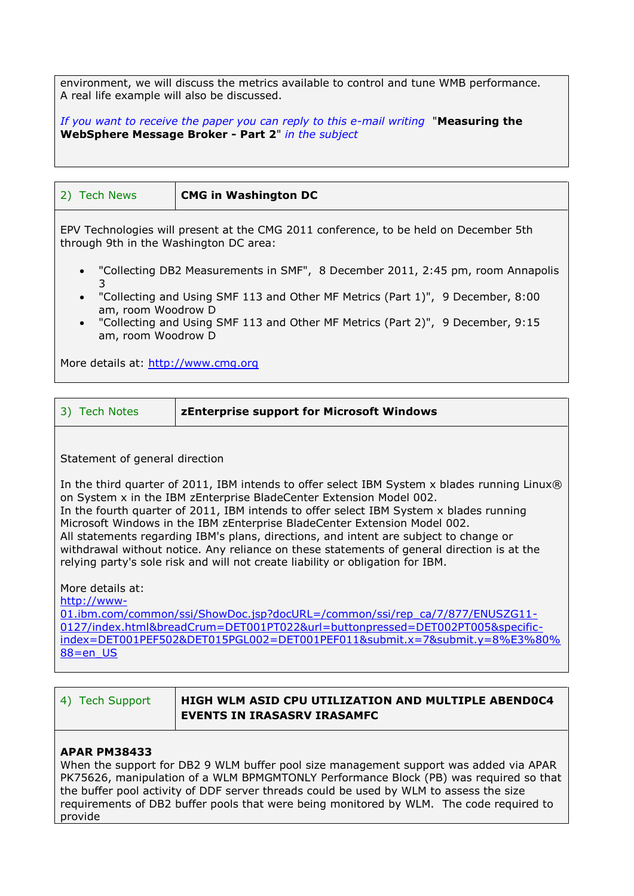environment, we will discuss the metrics available to control and tune WMB performance. A real life example will also be discussed.

*If you want to receive the paper you can reply to this e-mail writing* "**Measuring the WebSphere Message Broker - Part 2**" *in the subject* 

| <b>Tech News</b><br><b>CMG in Washington DC</b><br>2)                                                                                                                                                                                                                                                                                                                                                                                                             |  |
|-------------------------------------------------------------------------------------------------------------------------------------------------------------------------------------------------------------------------------------------------------------------------------------------------------------------------------------------------------------------------------------------------------------------------------------------------------------------|--|
|                                                                                                                                                                                                                                                                                                                                                                                                                                                                   |  |
| EPV Technologies will present at the CMG 2011 conference, to be held on December 5th<br>through 9th in the Washington DC area:<br>• "Collecting DB2 Measurements in SMF", 8 December 2011, 2:45 pm, room Annapolis<br>3<br>"Collecting and Using SMF 113 and Other MF Metrics (Part 1)", 9 December, 8:00<br>$\bullet$<br>am, room Woodrow D<br>"Collecting and Using SMF 113 and Other MF Metrics (Part 2)", 9 December, 9:15<br>$\bullet$<br>am, room Woodrow D |  |

More details at: [http://www.cmg.org](http://www.cmg.org/)

| 3) Tech Notes | <b>ZEnterprise support for Microsoft Windows</b> |
|---------------|--------------------------------------------------|
|---------------|--------------------------------------------------|

Statement of general direction

In the third quarter of 2011, IBM intends to offer select IBM System x blades running Linux® on System x in the IBM zEnterprise BladeCenter Extension Model 002. In the fourth quarter of 2011, IBM intends to offer select IBM System x blades running Microsoft Windows in the IBM zEnterprise BladeCenter Extension Model 002. All statements regarding IBM's plans, directions, and intent are subject to change or withdrawal without notice. Any reliance on these statements of general direction is at the relying party's sole risk and will not create liability or obligation for IBM.

More details at:

[http://www-](http://www-01.ibm.com/common/ssi/ShowDoc.jsp?docURL=/common/ssi/rep_ca/7/877/ENUSZG11-0127/index.html&breadCrum=DET001PT022&url=buttonpressed=DET002PT005&specific_index=DET001PEF502&DET015PGL002=DET001PEF011&submit.x=7&submit.y=8%E3%80%88=en_US)

[01.ibm.com/common/ssi/ShowDoc.jsp?docURL=/common/ssi/rep\\_ca/7/877/ENUSZG11-](http://www-01.ibm.com/common/ssi/ShowDoc.jsp?docURL=/common/ssi/rep_ca/7/877/ENUSZG11-0127/index.html&breadCrum=DET001PT022&url=buttonpressed=DET002PT005&specific_index=DET001PEF502&DET015PGL002=DET001PEF011&submit.x=7&submit.y=8%E3%80%88=en_US) [0127/index.html&breadCrum=DET001PT022&url=buttonpressed=DET002PT005&specific](http://www-01.ibm.com/common/ssi/ShowDoc.jsp?docURL=/common/ssi/rep_ca/7/877/ENUSZG11-0127/index.html&breadCrum=DET001PT022&url=buttonpressed=DET002PT005&specific_index=DET001PEF502&DET015PGL002=DET001PEF011&submit.x=7&submit.y=8%E3%80%88=en_US)[index=DET001PEF502&DET015PGL002=DET001PEF011&submit.x=7&submit.y=8%E3%80%](http://www-01.ibm.com/common/ssi/ShowDoc.jsp?docURL=/common/ssi/rep_ca/7/877/ENUSZG11-0127/index.html&breadCrum=DET001PT022&url=buttonpressed=DET002PT005&specific_index=DET001PEF502&DET015PGL002=DET001PEF011&submit.x=7&submit.y=8%E3%80%88=en_US) [88=en\\_US](http://www-01.ibm.com/common/ssi/ShowDoc.jsp?docURL=/common/ssi/rep_ca/7/877/ENUSZG11-0127/index.html&breadCrum=DET001PT022&url=buttonpressed=DET002PT005&specific_index=DET001PEF502&DET015PGL002=DET001PEF011&submit.x=7&submit.y=8%E3%80%88=en_US)

| 4) Tech Support | $\,$ HIGH WLM ASID CPU UTILIZATION AND MULTIPLE ABEND0C4 |
|-----------------|----------------------------------------------------------|
|                 | <b>EVENTS IN IRASASRV IRASAMFC</b>                       |

## **APAR PM38433**

When the support for DB2 9 WLM buffer pool size management support was added via APAR PK75626, manipulation of a WLM BPMGMTONLY Performance Block (PB) was required so that the buffer pool activity of DDF server threads could be used by WLM to assess the size requirements of DB2 buffer pools that were being monitored by WLM. The code required to provide